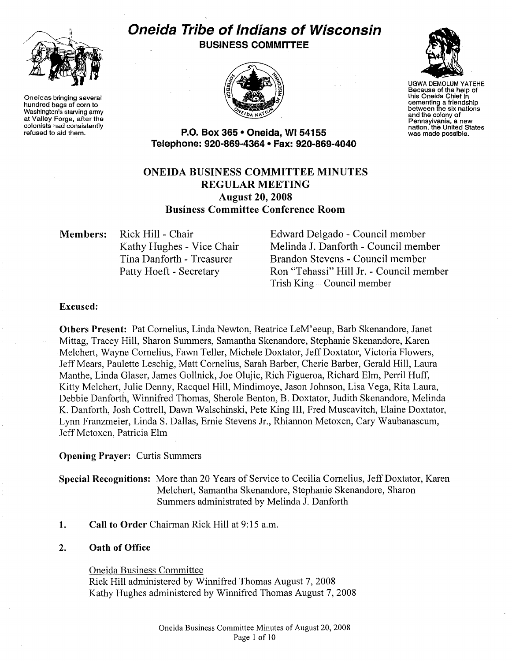

Oneidas bringing several hundred bags of corn to Washington's starving army at Valley Forge, after the colonists had consistently refused to aid them.

# **Oneida Tribe of Indians of Wisconsin BUSINESS COMMITTEE**





UGWA DEMOLUM YATEHE Because of the help of this Oneida Chief in cementing a friendship between the six nations and the colony of<br>Pennsylvania, a new nation, the United States<br>was made possible.

**P.O. Box 365 • Oneida, Wl54155 Telephone: 920-869-4364 • Fax: 920-869-4040** 

# **ONEIDA BUSINESS COMMITTEE MINUTES REGULAR MEETING August 20, 2008 Business Committee Conference Room**

**Members:** Rick Hill- Chair Kathy Hughes - Vice Chair Tina Danforth - Treasurer Patty Hoeft - Secretary

Edward Delgado - Council member Melinda J. Danforth - Council member Brandon Stevens- Council member Ron "Tehassi" Hill Jr. -Council member Trish King - Council member

## **Excused:**

**Others Present:** Pat Cornelius, Linda Newton, Beatrice LeM'eeup, Barb Skenandore, Janet Mittag, Tracey Hill, Sharon Summers, Samantha Skenandore, Stephanie Skenandore, Karen Melchert, Wayne Cornelius, Fawn Teller, Michele Doxtator, Jeff Doxtator, Victoria Flowers, JeffMears, Paulette Leschig, Matt Cornelius, Sarah Barber, Cherie Barber, Gerald Hill, Laura Manthe, Linda Glaser, James Gollnick, Joe Olujic, Rich Figueroa, Richard Elm, Perril Huff, Kitty Melchert, Julie Denny, Racquel Hill, Mindimoye, Jason Johnson, Lisa Vega, Rita Laura, Debbie Danforth, Winnifred Thomas, Sherole Benton, B. Doxtator, Judith Skenandore, Melinda K. Danforth, Josh Cottrell, Dawn Walschinski, Pete King III, Fred Muscavitch, Elaine Doxtator, Lynn Franzmeier, Linda S. Dallas, Ernie Stevens Jr., Rhiannon Metoxen, Cary Waubanascum, Jeff Metoxen, Patricia Elm

**Opening Prayer:** Curtis Summers

**Special Recognitions:** More than 20 Years of Service to Cecilia Cornelius, Jeff Doxtator, Karen Melchert, Samantha Skenandore, Stephanie Skenandore, Sharon Summers administrated by Melinda J. Danforth

**1. Call to Order** Chairman Rick Hill at 9:15 a.m.

## **2. Oath of Office**

Oneida Business Committee Rick Hill administered by Winnifred Thomas August 7, 2008 Kathy Hughes administered by Winnifred Thomas August 7, 2008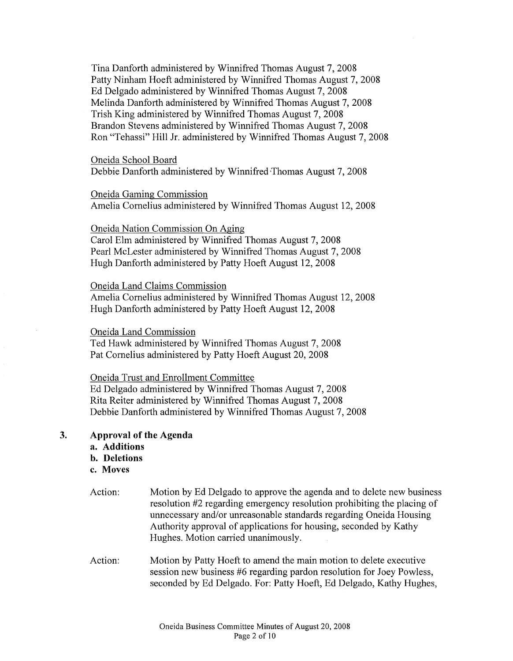Tina Danforth administered by Winnifred Thomas August 7, 2008 Patty Ninham Hoeft administered by Winnifred Thomas August 7, 2008 Ed Delgado administered by Winnifred Thomas August 7, 2008 Melinda Danforth administered by Winnifred Thomas August 7, 2008 Trish King administered by Winnifred Thomas August 7, 2008 Brandon Stevens administered by Winnifred Thomas August 7, 2008 Ron "Tehassi" Hill Jr. administered by Winnifred Thomas August 7, 2008

#### Oneida School Board

Debbie Danforth administered by Winnifred Thomas August 7, 2008

#### Oneida Gaming Commission

Amelia Cornelius administered by Winnifred Thomas August 12, 2008

#### Oneida Nation Commission On Aging

Carol Elm administered by Winnifred Thomas August 7, 2008 Pearl McLester administered by Winnifred Thomas August 7, 2008 Hugh Danforth administered by Patty Hoeft August 12, 2008

#### Oneida Land Claims Commission

Amelia Cornelius administered by Winnifred Thomas August 12, 2008 Hugh Danforth administered by Patty Hoeft August 12, 2008

# Oneida Land Commission

Ted Hawk administered by Winnifred Thomas August 7, 2008 Pat Cornelius administered by Patty Hoeft August 20, 2008

Oneida Trust and Enrollment Committee

Ed Delgado administered by Winnifred Thomas August 7, 2008 Rita Reiter administered by Winnifred Thomas August 7, 2008 Debbie Danforth administered by Winnifred Thomas August 7, 2008

# **3. Approval of the Agenda**

- **a. Additions**
- **b. Deletions**
- **c. Moves**
- Action: Motion by Ed Delgado to approve the agenda and to delete new business resolution #2 regarding emergency resolution prohibiting the placing of unnecessary and/or unreasonable standards regarding Oneida Housing Authority approval of applications for housing, seconded by Kathy Hughes. Motion carried unanimously.
- Action: Motion by Patty Hoeft to amend the main motion to delete executive session new business #6 regarding pardon resolution for Joey Powless, seconded by Ed Delgado. For: Patty Hoeft, Ed Delgado, Kathy Hughes,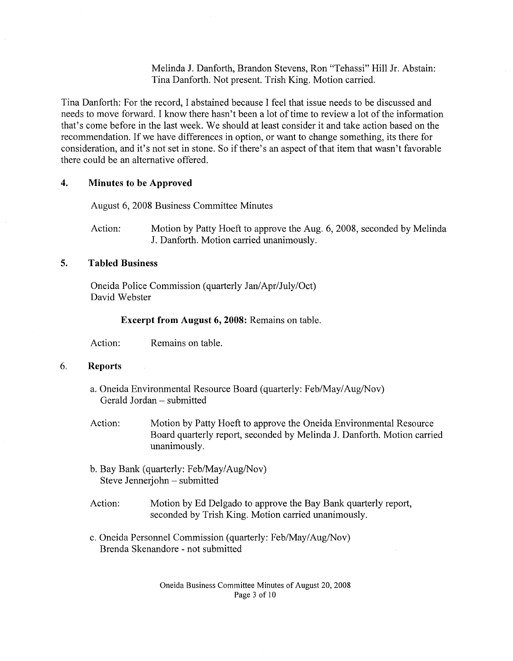Melinda J. Danforth, Brandon Stevens, Ron "Tehassi" Hill Jr. Abstain: Tina Danforth. Not present. Trish King. Motion carried.

Tina Danforth: For the record, I abstained because I feel that issue needs to be discussed and needs to move forward. I know there hasn't been a lot of time to review a lot of the information that's come before in the last week. We should at least consider it and take action based on the recommendation. If we have differences in option, or want to change something, its there for consideration, and it's not set in stone. So if there's an aspect of that item that wasn't favorable there could be an alternative offered.

#### **4. Minutes to be Approved**

August 6, 2008 Business Committee Minutes

Action: Motion by Patty Hoeft to approve the Aug. 6, 2008, seconded by Melinda J. Danforth. Motion carried unanimously.

#### **5. Tabled Business**

Oneida Police Commission (quarterly Jan/Apr/July/Oct) David Webster

**Excerpt from August 6, 2008:** Remains on table.

Action: Remains on table.

#### 6. **Reports**

- a. Oneida Environmental Resource Board (quarterly: Feb/May/Aug/Nov) Gerald Jordan- submitted
- Action: Motion by Patty Hoeft to approve the Oneida Environmental Resource Board quarterly report, seconded by Melinda J. Danforth. Motion carried unanimously.
- b. Bay Bank (quarterly: Feb/May/Aug/Nov) Steve Jennerjohn- submitted
- Action: Motion by Ed Delgado to approve the Bay Bank quarterly report, seconded by Trish King. Motion carried unanimously.
- c. Oneida Personnel Commission (quarterly: Feb/May/Aug/Nov) Brenda Skenandore - not submitted

Oneida Business Committee Minutes of August 20, 2008 Page 3 of 10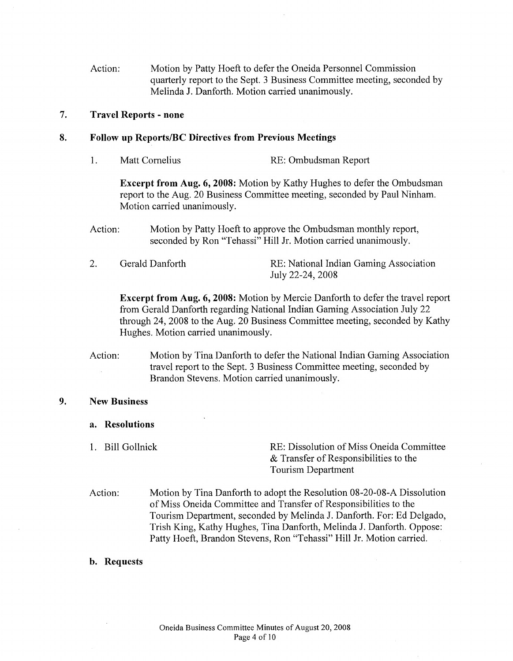Action: Motion by Patty Hoeft to defer the Oneida Personnel Commission quarterly report to the Sept. 3 Business Committee meeting, seconded by Melinda J. Danforth. Motion carried unanimously.

# **7. Travel Reports- none**

#### **8. Follow up Reports!BC Directives from Previous Meetings**

1. Matt Cornelius RE: Ombudsman Report

**Excerpt from Aug. 6, 2008:** Motion by Kathy Hughes to defer the Ombudsman report to the Aug. 20 Business Committee meeting, seconded by Paul Ninham. Motion carried unanimously.

- Action: Motion by Patty Hoeft to approve the Ombudsman monthly report, seconded by Ron "Tehassi" Hill Jr. Motion carried unanimously.
- 2. Gerald Danforth RE: National Indian Gaming Association July 22-24, 2008

**Excerpt from Aug. 6, 2008:** Motion by Mercie Danforth to defer the travel report from Gerald Danforth regarding National Indian Gaming Association July 22 through 24, 2008 to the Aug. 20 Business Committee meeting, seconded by Kathy Hughes. Motion carried unanimously.

Action: Motion by Tina Danforth to defer the National Indian Gaming Association travel report to the Sept. 3 Business Committee meeting, seconded by Brandon Stevens. Motion carried unanimously.

#### **9. New Business**

- **a. Resolutions**
- 

1. Bill Gollnick RE: Dissolution of Miss Oneida Committee & Transfer of Responsibilities to the Tourism Department

Action: Motion by Tina Danforth to adopt the Resolution 08-20-08-A Dissolution of Miss Oneida Committee and Transfer of Responsibilities to the Tourism Department, seconded by Melinda J. Danforth. For: Ed Delgado, Trish King, Kathy Hughes, Tina Danforth, Melinda J. Danforth. Oppose: Patty Hoeft, Brandon Stevens, Ron "Tehassi" Hill Jr. Motion carried.

**b. Requests**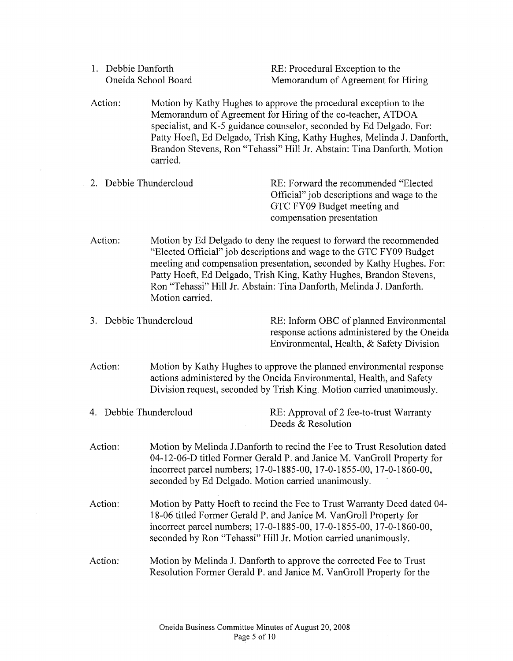| 1. Debbie Danforth     | Oneida School Board                                                                                                                                                                                                                                                                                                                                                                  | RE: Procedural Exception to the<br>Memorandum of Agreement for Hiring                                                                                                                                                                                                                                                                                         |  |
|------------------------|--------------------------------------------------------------------------------------------------------------------------------------------------------------------------------------------------------------------------------------------------------------------------------------------------------------------------------------------------------------------------------------|---------------------------------------------------------------------------------------------------------------------------------------------------------------------------------------------------------------------------------------------------------------------------------------------------------------------------------------------------------------|--|
| Action:                | carried.                                                                                                                                                                                                                                                                                                                                                                             | Motion by Kathy Hughes to approve the procedural exception to the<br>Memorandum of Agreement for Hiring of the co-teacher, ATDOA<br>specialist, and K-5 guidance counselor, seconded by Ed Delgado. For:<br>Patty Hoeft, Ed Delgado, Trish King, Kathy Hughes, Melinda J. Danforth,<br>Brandon Stevens, Ron "Tehassi" Hill Jr. Abstain: Tina Danforth. Motion |  |
| 2. Debbie Thundercloud |                                                                                                                                                                                                                                                                                                                                                                                      | RE: Forward the recommended "Elected"<br>Official" job descriptions and wage to the<br>GTC FY09 Budget meeting and<br>compensation presentation                                                                                                                                                                                                               |  |
| Action:                | Motion by Ed Delgado to deny the request to forward the recommended<br>"Elected Official" job descriptions and wage to the GTC FY09 Budget<br>meeting and compensation presentation, seconded by Kathy Hughes. For:<br>Patty Hoeft, Ed Delgado, Trish King, Kathy Hughes, Brandon Stevens,<br>Ron "Tehassi" Hill Jr. Abstain: Tina Danforth, Melinda J. Danforth.<br>Motion carried. |                                                                                                                                                                                                                                                                                                                                                               |  |
| 3. Debbie Thundercloud |                                                                                                                                                                                                                                                                                                                                                                                      | RE: Inform OBC of planned Environmental<br>response actions administered by the Oneida<br>Environmental, Health, & Safety Division                                                                                                                                                                                                                            |  |
| Action:                | Motion by Kathy Hughes to approve the planned environmental response<br>actions administered by the Oneida Environmental, Health, and Safety<br>Division request, seconded by Trish King. Motion carried unanimously.                                                                                                                                                                |                                                                                                                                                                                                                                                                                                                                                               |  |
| 4. Debbie Thundercloud |                                                                                                                                                                                                                                                                                                                                                                                      | RE: Approval of 2 fee-to-trust Warranty<br>Deeds & Resolution                                                                                                                                                                                                                                                                                                 |  |
| Action:                | Motion by Melinda J.Danforth to recind the Fee to Trust Resolution dated<br>04-12-06-D titled Former Gerald P. and Janice M. VanGroll Property for<br>incorrect parcel numbers; 17-0-1885-00, 17-0-1855-00, 17-0-1860-00,<br>seconded by Ed Delgado. Motion carried unanimously.                                                                                                     |                                                                                                                                                                                                                                                                                                                                                               |  |
| Action:                | Motion by Patty Hoeft to recind the Fee to Trust Warranty Deed dated 04-<br>18-06 titled Former Gerald P. and Janice M. VanGroll Property for<br>incorrect parcel numbers; 17-0-1885-00, 17-0-1855-00, 17-0-1860-00,<br>seconded by Ron "Tehassi" Hill Jr. Motion carried unanimously.                                                                                               |                                                                                                                                                                                                                                                                                                                                                               |  |
| Action:                |                                                                                                                                                                                                                                                                                                                                                                                      | Motion by Melinda J. Danforth to approve the corrected Fee to Trust<br>Resolution Former Gerald P. and Janice M. VanGroll Property for the                                                                                                                                                                                                                    |  |

 $\sim$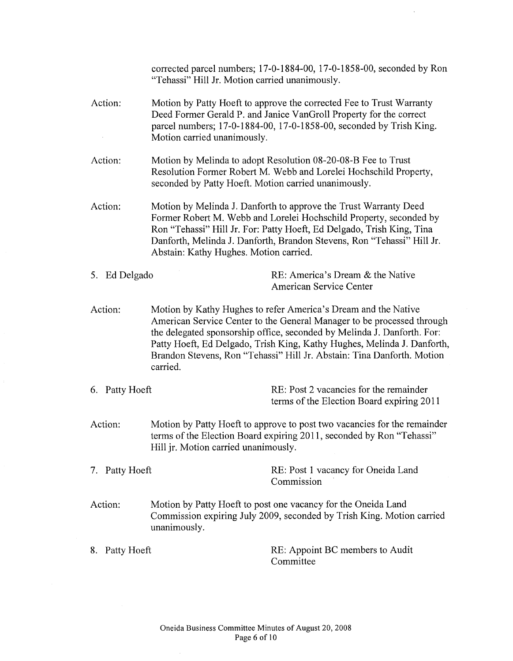|                | "Tehassi" Hill Jr. Motion carried unanimously.                                                                                                                                                                                                                                                                                                                                       | corrected parcel numbers; 17-0-1884-00, 17-0-1858-00, seconded by Ron               |  |
|----------------|--------------------------------------------------------------------------------------------------------------------------------------------------------------------------------------------------------------------------------------------------------------------------------------------------------------------------------------------------------------------------------------|-------------------------------------------------------------------------------------|--|
| Action:        | Motion by Patty Hoeft to approve the corrected Fee to Trust Warranty<br>Deed Former Gerald P. and Janice VanGroll Property for the correct<br>parcel numbers; 17-0-1884-00, 17-0-1858-00, seconded by Trish King.<br>Motion carried unanimously.                                                                                                                                     |                                                                                     |  |
| Action:        | Motion by Melinda to adopt Resolution 08-20-08-B Fee to Trust<br>Resolution Former Robert M. Webb and Lorelei Hochschild Property,<br>seconded by Patty Hoeft. Motion carried unanimously.                                                                                                                                                                                           |                                                                                     |  |
| Action:        | Motion by Melinda J. Danforth to approve the Trust Warranty Deed<br>Former Robert M. Webb and Lorelei Hochschild Property, seconded by<br>Ron "Tehassi" Hill Jr. For: Patty Hoeft, Ed Delgado, Trish King, Tina<br>Danforth, Melinda J. Danforth, Brandon Stevens, Ron "Tehassi" Hill Jr.<br>Abstain: Kathy Hughes. Motion carried.                                                  |                                                                                     |  |
| 5. Ed Delgado  |                                                                                                                                                                                                                                                                                                                                                                                      | RE: America's Dream & the Native<br><b>American Service Center</b>                  |  |
| Action:        | Motion by Kathy Hughes to refer America's Dream and the Native<br>American Service Center to the General Manager to be processed through<br>the delegated sponsorship office, seconded by Melinda J. Danforth. For:<br>Patty Hoeft, Ed Delgado, Trish King, Kathy Hughes, Melinda J. Danforth,<br>Brandon Stevens, Ron "Tehassi" Hill Jr. Abstain: Tina Danforth. Motion<br>carried. |                                                                                     |  |
| 6. Patty Hoeft |                                                                                                                                                                                                                                                                                                                                                                                      | RE: Post 2 vacancies for the remainder<br>terms of the Election Board expiring 2011 |  |
| Action:        | Motion by Patty Hoeft to approve to post two vacancies for the remainder<br>terms of the Election Board expiring 2011, seconded by Ron "Tehassi"<br>Hill jr. Motion carried unanimously.                                                                                                                                                                                             |                                                                                     |  |
| 7. Patty Hoeft |                                                                                                                                                                                                                                                                                                                                                                                      | RE: Post 1 vacancy for Oneida Land<br>Commission                                    |  |
| Action:        | Motion by Patty Hoeft to post one vacancy for the Oneida Land<br>Commission expiring July 2009, seconded by Trish King. Motion carried<br>unanimously.                                                                                                                                                                                                                               |                                                                                     |  |
| 8. Patty Hoeft |                                                                                                                                                                                                                                                                                                                                                                                      | RE: Appoint BC members to Audit<br>Committee                                        |  |

 $\hat{\mathcal{A}}$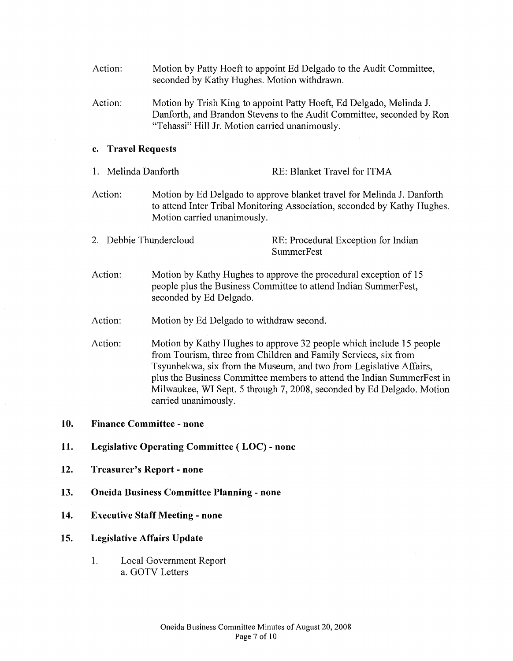- Action: Action: Motion by Patty Hoeft to appoint Ed Delgado to the Audit Committee, seconded by Kathy Hughes. Motion withdrawn. Motion by Trish King to appoint Patty Hoeft, Ed Delgado, Melinda J. Danforth, and Brandon Stevens to the Audit Committee, seconded by Ron "Tehassi" Hill Jr. Motion carried unanimously. **c. Travel Requests**  1. Melinda Danforth RE: Blanket Travel for ITMA Action: Motion by Ed Delgado to approve blanket travel for Melinda J. Danforth to attend Inter Tribal Monitoring Association, seconded by Kathy Hughes. Motion carried unanimously. 2. Debbie Thundercloud RE: Procedural Exception for Indian **SummerFest** Action: Action: Action: Motion by Kathy Hughes to approve the procedural exception of 15 people plus the Business Committee to attend Indian SummerFest, seconded by Ed Delgado. Motion by Ed Delgado to withdraw second. Motion by Kathy Hughes to approve 32 people which include 15 people from Tourism, three from Children and Family Services, six from Tsyunhekwa, six from the Museum, and two from Legislative Affairs, plus the Business Committee members to attend the Indian SummerFest in Milwaukee, WI Sept. 5 through 7, 2008, seconded by Ed Delgado. Motion carried unanimously. **10. Finance Committee- none 11. Legislative Operating Committee ( LOC) - none 12. Treasurer's Report- none 13. Oneida Business Committee Planning - none**
- **14. Executive Staff Meeting- none**
- **15. Legislative Affairs Update** 
	- 1. Local Government Report a. GOTV Letters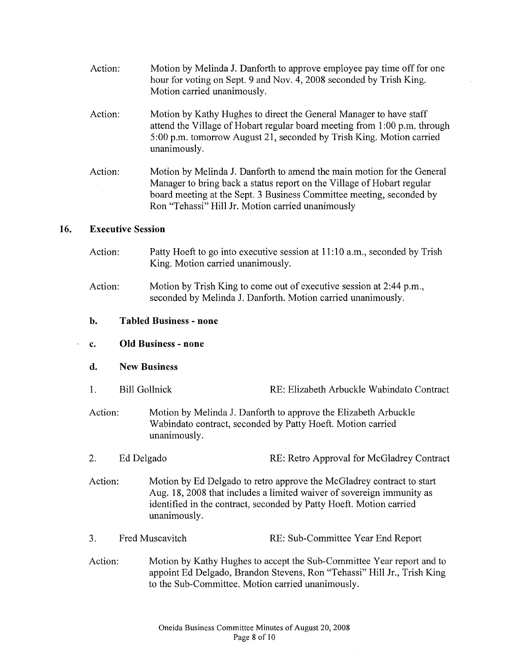- Action: Motion by Melinda J. Danforth to approve employee pay time off for one hour for voting on Sept. 9 and Nov. 4, 2008 seconded by Trish King. Motion carried unanimously.
- Action: Motion by Kathy Hughes to direct the General Manager to have staff attend the Village of Hobart regular board meeting from 1 :00 p.m. through 5:00 p.m. tomorrow August 21, seconded by Trish King. Motion carried unanimously.
- Action: Motion by Melinda J. Danforth to amend the main motion for the General Manager to bring back a status report on the Village of Hobart regular board meeting at the Sept. 3 Business Committee meeting, seconded by Ron "Tehassi" Hill Jr. Motion carried unanimously

## **16. Executive Session**

- Action: Patty Hoeft to go into executive session at 11:10 a.m., seconded by Trish King. Motion carried unanimously.
- Action: Motion by Trish King to come out of executive session at 2:44 p.m., seconded by Melinda J. Danforth. Motion carried unanimously.
- **b. Tabled Business - none**

#### **c. Old Business - none**

- **d. New Business**
- I. Bill Gollnick RE: Elizabeth Arbuckle Wabindato Contract
- Action: Motion by Melinda J. Danforth to approve the Elizabeth Arbuckle Wabindato contract, seconded by Patty Hoeft. Motion carried unanimously.
- 2. Ed Delgado RE: Retro Approval for McGladrey Contract
- Action: Motion by Ed Delgado to retro approve the McGladrey contract to start Aug. 18, 2008 that includes a limited waiver of sovereign immunity as identified in the contract, seconded by Patty Hoeft. Motion carried unanimously.
- 3. Fred Muscavitch RE: Sub-Committee Year End Report
- Action: Motion by Kathy Hughes to accept the Sub-Committee Year report and to appoint Ed Delgado, Brandon Stevens, Ron "Tehassi" Hill Jr., Trish King to the Sub-Committee. Motion carried unanimously.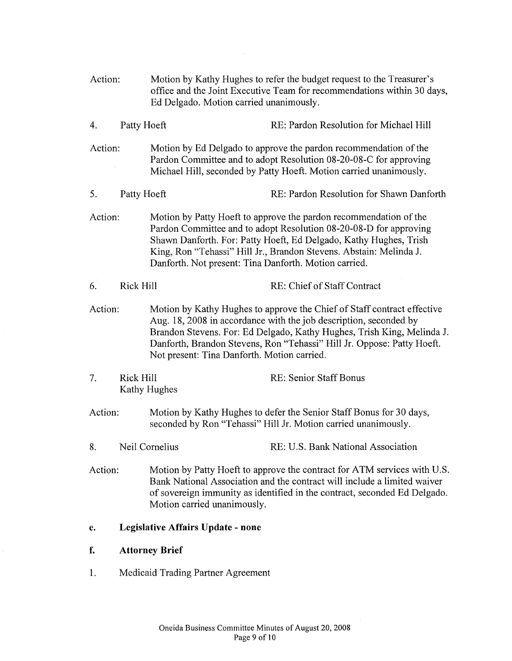| Action: | Ed Delgado. Motion carried unanimously. |                                                       | Motion by Kathy Hughes to refer the budget request to the Treasurer's<br>office and the Joint Executive Team for recommendations within 30 days,                                                                                                                                                 |
|---------|-----------------------------------------|-------------------------------------------------------|--------------------------------------------------------------------------------------------------------------------------------------------------------------------------------------------------------------------------------------------------------------------------------------------------|
| 4.      | Patty Hoeft                             |                                                       | RE: Pardon Resolution for Michael Hill                                                                                                                                                                                                                                                           |
| Action: |                                         |                                                       | Motion by Ed Delgado to approve the pardon recommendation of the<br>Pardon Committee and to adopt Resolution 08-20-08-C for approving<br>Michael Hill, seconded by Patty Hoeft. Motion carried unanimously.                                                                                      |
| 5.      | Patty Hoeft                             |                                                       | RE: Pardon Resolution for Shawn Danforth                                                                                                                                                                                                                                                         |
| Action: |                                         | Danforth. Not present: Tina Danforth. Motion carried. | Motion by Patty Hoeft to approve the pardon recommendation of the<br>Pardon Committee and to adopt Resolution 08-20-08-D for approving<br>Shawn Danforth. For: Patty Hoeft, Ed Delgado, Kathy Hughes, Trish<br>King, Ron "Tehassi" Hill Jr., Brandon Stevens. Abstain: Melinda J.                |
| 6.      | Rick Hill                               |                                                       | RE: Chief of Staff Contract                                                                                                                                                                                                                                                                      |
| Action: |                                         | Not present: Tina Danforth. Motion carried.           | Motion by Kathy Hughes to approve the Chief of Staff contract effective<br>Aug. 18, 2008 in accordance with the job description, seconded by<br>Brandon Stevens. For: Ed Delgado, Kathy Hughes, Trish King, Melinda J.<br>Danforth, Brandon Stevens, Ron "Tehassi" Hill Jr. Oppose: Patty Hoeft. |
| 7.      | <b>Rick Hill</b>                        | Kathy Hughes                                          | RE: Senior Staff Bonus                                                                                                                                                                                                                                                                           |
| Action: |                                         |                                                       | Motion by Kathy Hughes to defer the Senior Staff Bonus for 30 days,<br>seconded by Ron "Tehassi" Hill Jr. Motion carried unanimously.                                                                                                                                                            |
| 8.      |                                         | Neil Cornelius                                        | RE: U.S. Bank National Association                                                                                                                                                                                                                                                               |
| Action: | Motion carried unanimously.             |                                                       | Motion by Patty Hoeft to approve the contract for ATM services with U.S.<br>Bank National Association and the contract will include a limited waiver<br>of sovereign immunity as identified in the contract, seconded Ed Delgado.                                                                |
| е.      | Legislative Affairs Update - none       |                                                       |                                                                                                                                                                                                                                                                                                  |
| f.      | <b>Attorney Brief</b>                   |                                                       |                                                                                                                                                                                                                                                                                                  |
| 1.      | Medicaid Trading Partner Agreement      |                                                       |                                                                                                                                                                                                                                                                                                  |
|         |                                         |                                                       |                                                                                                                                                                                                                                                                                                  |

 $\sim 10^7$